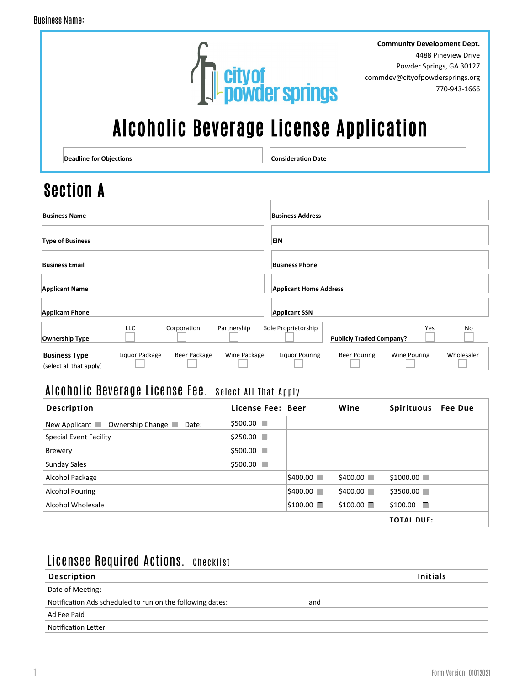

**Community Development Dept.** 4488 Pineview Drive Powder Springs, GA 30127 commdev@cityofpowdersprings.org 770-943-1666

# Alcoholic Beverage License Application

**Deadline for Objections Consideration Date** 

# Section A

| <b>Business Name</b>                            |                |              |              | <b>Business Address</b>       |                                 |                     |            |
|-------------------------------------------------|----------------|--------------|--------------|-------------------------------|---------------------------------|---------------------|------------|
| <b>Type of Business</b>                         |                |              |              | <b>EIN</b>                    |                                 |                     |            |
| <b>Business Email</b>                           |                |              |              | <b>Business Phone</b>         |                                 |                     |            |
| <b>Applicant Name</b>                           |                |              |              | <b>Applicant Home Address</b> |                                 |                     |            |
| <b>Applicant Phone</b>                          |                |              |              | <b>Applicant SSN</b>          |                                 |                     |            |
| Ownership Type                                  | LLC            | Corporation  | Partnership  | Sole Proprietorship           | <b>Publicly Traded Company?</b> | Yes                 | No         |
| <b>Business Type</b><br>(select all that apply) | Liquor Package | Beer Package | Wine Package | Liquor Pouring                | Beer Pouring                    | <b>Wine Pouring</b> | Wholesaler |

### Alcoholic Beverage License Fee. Select All That Apply

| Description                                           | License Fee: Beer |                          | Wine                     | Spirituous        | Fee Due |
|-------------------------------------------------------|-------------------|--------------------------|--------------------------|-------------------|---------|
| New Applicant $\Box$ Ownership Change $\Box$<br>Date: | \$500.00          |                          |                          |                   |         |
| Special Event Facility                                | $$250.00$ $\Box$  |                          |                          |                   |         |
| <b>Brewery</b>                                        | \$500.00          |                          |                          |                   |         |
| <b>Sunday Sales</b>                                   | \$500.00          |                          |                          |                   |         |
| Alcohol Package                                       |                   | $$400.00$ $\Box$         | $ $ \$400.00             | $ $1000.00$ $ $   |         |
| <b>Alcohol Pouring</b>                                |                   | $$400.00$ $\blacksquare$ | $$400.00$ $\blacksquare$ | \$3500.00         |         |
| Alcohol Wholesale                                     |                   | $$100.00$ $\Box$         | $ $100.00$ $ $           | \$100.00<br>٠     |         |
|                                                       |                   |                          |                          | <b>TOTAL DUE:</b> |         |

### Licensee Required Actions. Checklist

| <b>Description</b>                                               | <b>Initials</b> |
|------------------------------------------------------------------|-----------------|
| Date of Meeting:                                                 |                 |
| Notification Ads scheduled to run on the following dates:<br>and |                 |
| Ad Fee Paid                                                      |                 |
| Notification Letter                                              |                 |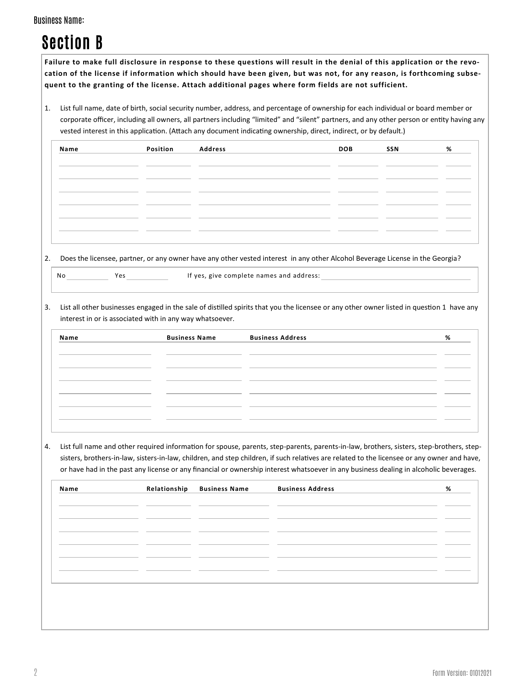**Failure to make full disclosure in response to these questions will result in the denial of this application or the revocation of the license if information which should have been given, but was not, for any reason, is forthcoming subsequent to the granting of the license. Attach additional pages where form fields are not sufficient.**

1. List full name, date of birth, social security number, address, and percentage of ownership for each individual or board member or corporate officer, including all owners, all partners including "limited" and "silent" partners, and any other person or entity having any vested interest in this application. (Attach any document indicating ownership, direct, indirect, or by default.)

| Name | Position Address | <b>DOB</b> | SSN | % |
|------|------------------|------------|-----|---|
|      |                  |            |     |   |
|      |                  |            |     |   |
|      |                  |            |     |   |
|      |                  |            |     |   |
|      |                  |            |     |   |
|      |                  |            |     |   |

2. Does the licensee, partner, or any owner have any other vested interest in any other Alcohol Beverage License in the Georgia?

|                | Dues the litensee, partier, or any owner |  |
|----------------|------------------------------------------|--|
| N <sub>0</sub> | V <sub>0</sub>                           |  |

No Ves Yes If yes, give complete names and address:

3. List all other businesses engaged in the sale of distilled spirits that you the licensee or any other owner listed in question 1 have any interest in or is associated with in any way whatsoever.

| Name | <b>Business Name</b> | <b>Business Address</b> | % |
|------|----------------------|-------------------------|---|
|      |                      |                         |   |
|      |                      |                         |   |
|      |                      |                         |   |
|      |                      |                         |   |
|      |                      |                         |   |
|      |                      |                         |   |

4. List full name and other required information for spouse, parents, step-parents, parents-in-law, brothers, sisters, step-brothers, stepsisters, brothers-in-law, sisters-in-law, children, and step children, if such relatives are related to the licensee or any owner and have, or have had in the past any license or any financial or ownership interest whatsoever in any business dealing in alcoholic beverages.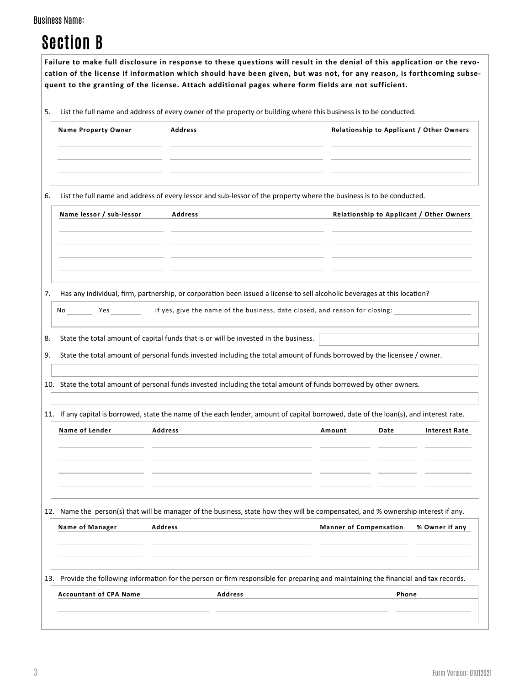| <b>Section B</b> |  |  |  |
|------------------|--|--|--|
|------------------|--|--|--|

|    |                                                                                                                                        | Failure to make full disclosure in response to these questions will result in the denial of this application or the revo-<br>cation of the license if information which should have been given, but was not, for any reason, is forthcoming subse-<br>quent to the granting of the license. Attach additional pages where form fields are not sufficient. |        |                               |                                          |  |  |
|----|----------------------------------------------------------------------------------------------------------------------------------------|-----------------------------------------------------------------------------------------------------------------------------------------------------------------------------------------------------------------------------------------------------------------------------------------------------------------------------------------------------------|--------|-------------------------------|------------------------------------------|--|--|
| 5. |                                                                                                                                        | List the full name and address of every owner of the property or building where this business is to be conducted.                                                                                                                                                                                                                                         |        |                               |                                          |  |  |
|    | <b>Name Property Owner</b>                                                                                                             | <b>Address</b>                                                                                                                                                                                                                                                                                                                                            |        |                               | Relationship to Applicant / Other Owners |  |  |
| 6. |                                                                                                                                        | List the full name and address of every lessor and sub-lessor of the property where the business is to be conducted.                                                                                                                                                                                                                                      |        |                               |                                          |  |  |
|    | Name lessor / sub-lessor                                                                                                               | <b>Address</b>                                                                                                                                                                                                                                                                                                                                            |        |                               | Relationship to Applicant / Other Owners |  |  |
| 7. | No Yes                                                                                                                                 | Has any individual, firm, partnership, or corporation been issued a license to sell alcoholic beverages at this location?<br>If yes, give the name of the business, date closed, and reason for closing:                                                                                                                                                  |        |                               |                                          |  |  |
| 8. |                                                                                                                                        | State the total amount of capital funds that is or will be invested in the business.                                                                                                                                                                                                                                                                      |        |                               |                                          |  |  |
| 9. |                                                                                                                                        | State the total amount of personal funds invested including the total amount of funds borrowed by the licensee / owner.                                                                                                                                                                                                                                   |        |                               |                                          |  |  |
|    |                                                                                                                                        | 10. State the total amount of personal funds invested including the total amount of funds borrowed by other owners.                                                                                                                                                                                                                                       |        |                               |                                          |  |  |
|    | 11. If any capital is borrowed, state the name of the each lender, amount of capital borrowed, date of the loan(s), and interest rate. |                                                                                                                                                                                                                                                                                                                                                           |        |                               |                                          |  |  |
|    | Name of Lender                                                                                                                         | <b>Address</b>                                                                                                                                                                                                                                                                                                                                            | Amount | Date                          | <b>Interest Rate</b>                     |  |  |
|    | Name of Manager                                                                                                                        | 12. Name the person(s) that will be manager of the business, state how they will be compensated, and % ownership interest if any.<br>Address                                                                                                                                                                                                              |        | <b>Manner of Compensation</b> | % Owner if any                           |  |  |
|    |                                                                                                                                        |                                                                                                                                                                                                                                                                                                                                                           |        |                               |                                          |  |  |
|    |                                                                                                                                        |                                                                                                                                                                                                                                                                                                                                                           |        |                               |                                          |  |  |
|    |                                                                                                                                        | 13. Provide the following information for the person or firm responsible for preparing and maintaining the financial and tax records.                                                                                                                                                                                                                     |        |                               |                                          |  |  |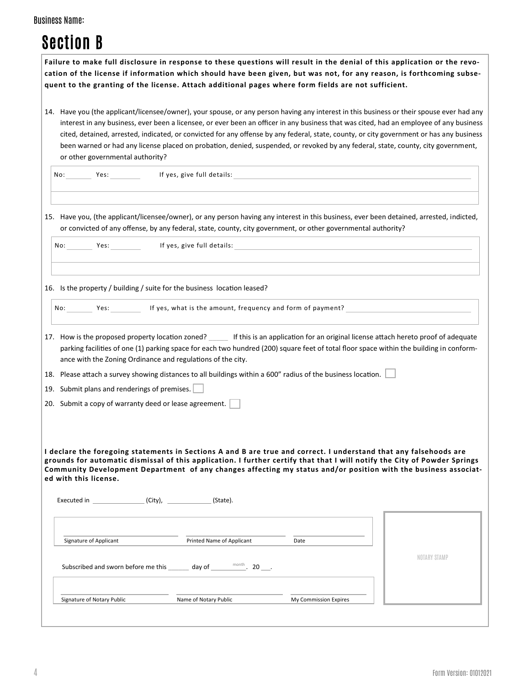| <b>Business Name:</b> |  |
|-----------------------|--|
|-----------------------|--|

| Failure to make full disclosure in response to these questions will result in the denial of this application or the revo-<br>cation of the license if information which should have been given, but was not, for any reason, is forthcoming subse-<br>quent to the granting of the license. Attach additional pages where form fields are not sufficient.                                  |                           |      |                                                                                                                                                                                                                                                                                                                                                                                                                          |
|--------------------------------------------------------------------------------------------------------------------------------------------------------------------------------------------------------------------------------------------------------------------------------------------------------------------------------------------------------------------------------------------|---------------------------|------|--------------------------------------------------------------------------------------------------------------------------------------------------------------------------------------------------------------------------------------------------------------------------------------------------------------------------------------------------------------------------------------------------------------------------|
| 14. Have you (the applicant/licensee/owner), your spouse, or any person having any interest in this business or their spouse ever had any<br>or other governmental authority?                                                                                                                                                                                                              |                           |      | interest in any business, ever been a licensee, or ever been an officer in any business that was cited, had an employee of any business<br>cited, detained, arrested, indicated, or convicted for any offense by any federal, state, county, or city government or has any business<br>been warned or had any license placed on probation, denied, suspended, or revoked by any federal, state, county, city government, |
| No: Yes: Yes: If yes, give full details:                                                                                                                                                                                                                                                                                                                                                   |                           |      |                                                                                                                                                                                                                                                                                                                                                                                                                          |
| 15. Have you, (the applicant/licensee/owner), or any person having any interest in this business, ever been detained, arrested, indicted,<br>or convicted of any offense, by any federal, state, county, city government, or other governmental authority?                                                                                                                                 |                           |      |                                                                                                                                                                                                                                                                                                                                                                                                                          |
| No: Yes: Yes: If yes, give full details:                                                                                                                                                                                                                                                                                                                                                   |                           |      |                                                                                                                                                                                                                                                                                                                                                                                                                          |
| 16. Is the property / building / suite for the business location leased?                                                                                                                                                                                                                                                                                                                   |                           |      |                                                                                                                                                                                                                                                                                                                                                                                                                          |
| No: Yes: If yes, what is the amount, frequency and form of payment?                                                                                                                                                                                                                                                                                                                        |                           |      |                                                                                                                                                                                                                                                                                                                                                                                                                          |
| 17. How is the proposed property location zoned? _____ If this is an application for an original license attach hereto proof of adequate<br>ance with the Zoning Ordinance and regulations of the city.                                                                                                                                                                                    |                           |      | parking facilities of one (1) parking space for each two hundred (200) square feet of total floor space within the building in conform-                                                                                                                                                                                                                                                                                  |
| 18. Please attach a survey showing distances to all buildings within a 600" radius of the business location.                                                                                                                                                                                                                                                                               |                           |      |                                                                                                                                                                                                                                                                                                                                                                                                                          |
| 19. Submit plans and renderings of premises.                                                                                                                                                                                                                                                                                                                                               |                           |      |                                                                                                                                                                                                                                                                                                                                                                                                                          |
| 20. Submit a copy of warranty deed or lease agreement.                                                                                                                                                                                                                                                                                                                                     |                           |      |                                                                                                                                                                                                                                                                                                                                                                                                                          |
| I declare the foregoing statements in Sections A and B are true and correct. I understand that any falsehoods are<br>grounds for automatic dismissal of this application. I further certify that that I will notify the City of Powder Springs<br>Community Development Department of any changes affecting my status and/or position with the business associat-<br>ed with this license. |                           |      |                                                                                                                                                                                                                                                                                                                                                                                                                          |
|                                                                                                                                                                                                                                                                                                                                                                                            |                           |      |                                                                                                                                                                                                                                                                                                                                                                                                                          |
| Signature of Applicant                                                                                                                                                                                                                                                                                                                                                                     | Printed Name of Applicant | Date |                                                                                                                                                                                                                                                                                                                                                                                                                          |
| Subscribed and sworn before me this _______ day of _______ <sup>month</sup> . 20 ___.                                                                                                                                                                                                                                                                                                      |                           |      | NOTARY STAMP                                                                                                                                                                                                                                                                                                                                                                                                             |
|                                                                                                                                                                                                                                                                                                                                                                                            |                           |      |                                                                                                                                                                                                                                                                                                                                                                                                                          |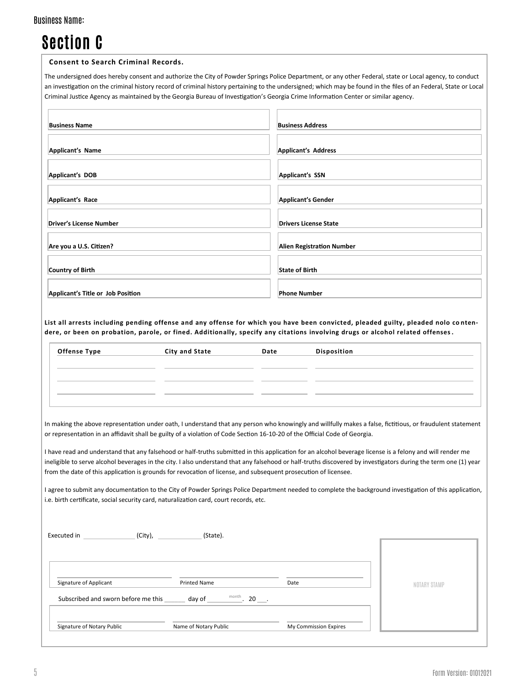# Section C

#### **Consent to Search Criminal Records.**

The undersigned does hereby consent and authorize the City of Powder Springs Police Department, or any other Federal, state or Local agency, to conduct an investigation on the criminal history record of criminal history pertaining to the undersigned; which may be found in the files of an Federal, State or Local Criminal Justice Agency as maintained by the Georgia Bureau of Investigation's Georgia Crime Information Center or similar agency.

| <b>Business Name</b>              | <b>Business Address</b>          |
|-----------------------------------|----------------------------------|
| Applicant's Name                  | Applicant's Address              |
| Applicant's DOB                   | Applicant's SSN                  |
| Applicant's Race                  | Applicant's Gender               |
| <b>Driver's License Number</b>    | <b>Drivers License State</b>     |
| Are you a U.S. Citizen?           | <b>Alien Registration Number</b> |
| <b>Country of Birth</b>           | <b>State of Birth</b>            |
| Applicant's Title or Job Position | <b>Phone Number</b>              |

**List all arrests including pending offense and any offense for which you have been convicted, pleaded guilty, pleaded nolo co ntendere, or been on probation, parole, or fined. Additionally, specify any citations involving drugs or alcohol related offenses.**

| <b>Offense Type</b> | City and State | Date | Disposition |
|---------------------|----------------|------|-------------|
|                     |                |      |             |
|                     |                |      |             |
|                     |                |      |             |
|                     |                |      |             |

In making the above representation under oath, I understand that any person who knowingly and willfully makes a false, fictitious, or fraudulent statement or representation in an affidavit shall be guilty of a violation of Code Section 16-10-20 of the Official Code of Georgia.

I have read and understand that any falsehood or half-truths submitted in this application for an alcohol beverage license is a felony and will render me ineligible to serve alcohol beverages in the city. I also understand that any falsehood or half-truths discovered by investigators during the term one (1) year from the date of this application is grounds for revocation of license, and subsequent prosecution of licensee.

I agree to submit any documentation to the City of Powder Springs Police Department needed to complete the background investigation of this application, i.e. birth certificate, social security card, naturalization card, court records, etc.

|                                     | (State).                                                    |                       |              |
|-------------------------------------|-------------------------------------------------------------|-----------------------|--------------|
|                                     |                                                             |                       |              |
|                                     |                                                             |                       |              |
| Signature of Applicant              | <b>Printed Name</b>                                         | Date                  | NOTARY STAMP |
| Subscribed and sworn before me this | $\overline{\phantom{a}}^{\text{month}}$ . 20 ___.<br>day of |                       |              |
|                                     |                                                             |                       |              |
| Signature of Notary Public          | Name of Notary Public                                       | My Commission Expires |              |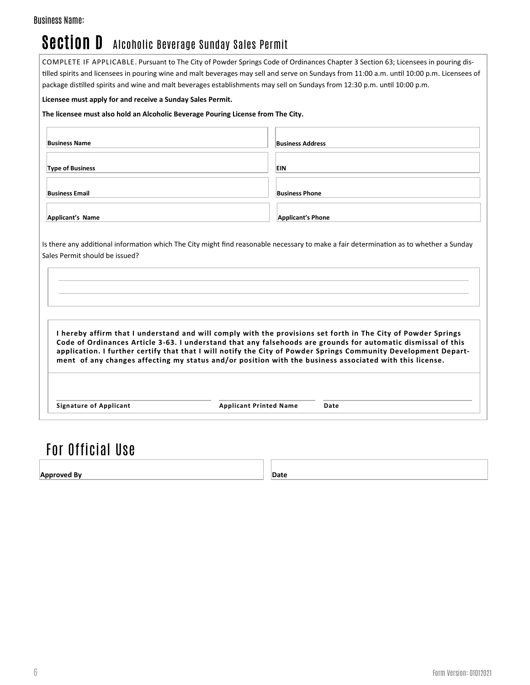## Section D Alcoholic Beverage Sunday Sales Permit

COMPLETE IF APPLICABLE. Pursuant to The City of Powder Springs Code of Ordinances Chapter 3 Section 63; Licensees in pouring distilled spirits and licensees in pouring wine and malt beverages may sell and serve on Sundays from 11:00 a.m. until 10:00 p.m. Licensees of package distilled spirits and wine and malt beverages establishments may sell on Sundays from 12:30 p.m. until 10:00 p.m.

#### **Licensee must apply for and receive a Sunday Sales Permit.**

#### **The licensee must also hold an Alcoholic Beverage Pouring License from The City.**

| <b>Business Name</b>    | <b>Business Address</b>  |
|-------------------------|--------------------------|
| <b>Type of Business</b> | EIN                      |
| <b>Business Email</b>   | <b>Business Phone</b>    |
| Applicant's Name        | <b>Applicant's Phone</b> |

Is there any additional information which The City might find reasonable necessary to make a fair determination as to whether a Sunday Sales Permit should be issued?

**I hereby affirm that I understand and will comply with the provisions set forth in The City of Powder Springs Code of Ordinances Article 3-63. I understand that any falsehoods are grounds for automatic dismissal of this application. I further certify that that I will notify the City of Powder Springs Community Development Department of any changes affecting my status and/or position with the business associated with this license.**

**Signature of Applicant Applicant Printed Name Date**

## For Official Use

**Approved By Date**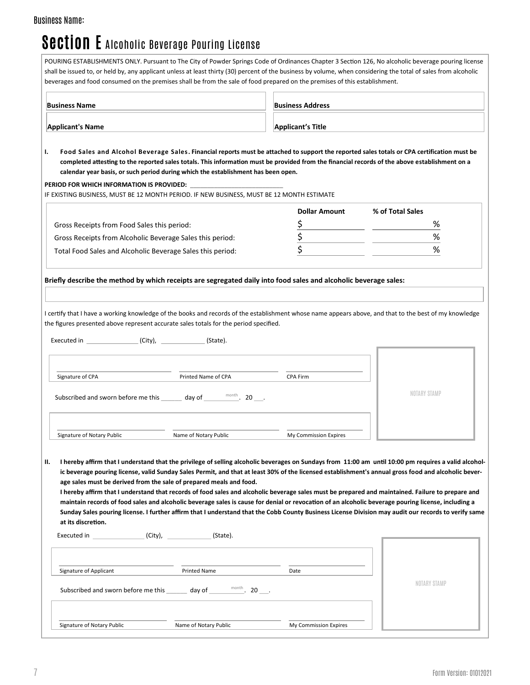# Section E Alcoholic Beverage Pouring License

| <b>Business Name</b>                                       |                                                                                           | <b>Business Address</b><br><b>Applicant's Title</b> |                                                                                                                                                                                                                                                                                                               |
|------------------------------------------------------------|-------------------------------------------------------------------------------------------|-----------------------------------------------------|---------------------------------------------------------------------------------------------------------------------------------------------------------------------------------------------------------------------------------------------------------------------------------------------------------------|
| <b>Applicant's Name</b>                                    |                                                                                           |                                                     |                                                                                                                                                                                                                                                                                                               |
|                                                            | calendar year basis, or such period during which the establishment has been open.         |                                                     | Food Sales and Alcohol Beverage Sales. Financial reports must be attached to support the reported sales totals or CPA certification must be<br>completed attesting to the reported sales totals. This information must be provided from the financial records of the above establishment on a                 |
|                                                            | IF EXISTING BUSINESS, MUST BE 12 MONTH PERIOD. IF NEW BUSINESS, MUST BE 12 MONTH ESTIMATE |                                                     |                                                                                                                                                                                                                                                                                                               |
|                                                            |                                                                                           | <b>Dollar Amount</b>                                | % of Total Sales                                                                                                                                                                                                                                                                                              |
| Gross Receipts from Food Sales this period:                |                                                                                           |                                                     | %                                                                                                                                                                                                                                                                                                             |
| Gross Receipts from Alcoholic Beverage Sales this period:  |                                                                                           | \$                                                  | %                                                                                                                                                                                                                                                                                                             |
| Total Food Sales and Alcoholic Beverage Sales this period: |                                                                                           | $\overline{\boldsymbol{\varsigma}}$                 | %                                                                                                                                                                                                                                                                                                             |
|                                                            |                                                                                           |                                                     | I certify that I have a working knowledge of the books and records of the establishment whose name appears above, and that to the best of my knowledge                                                                                                                                                        |
|                                                            | the figures presented above represent accurate sales totals for the period specified.     |                                                     |                                                                                                                                                                                                                                                                                                               |
| Executed in (City), (State).                               |                                                                                           |                                                     |                                                                                                                                                                                                                                                                                                               |
|                                                            |                                                                                           |                                                     |                                                                                                                                                                                                                                                                                                               |
|                                                            |                                                                                           |                                                     |                                                                                                                                                                                                                                                                                                               |
| Signature of CPA                                           | Printed Name of CPA                                                                       | CPA Firm                                            |                                                                                                                                                                                                                                                                                                               |
|                                                            | Subscribed and sworn before me this _______ day of _______ <sup>month</sup> . 20 ___.     |                                                     | NOTARY STAMP                                                                                                                                                                                                                                                                                                  |
| Signature of Notary Public                                 | Name of Notary Public                                                                     | My Commission Expires                               |                                                                                                                                                                                                                                                                                                               |
|                                                            |                                                                                           |                                                     |                                                                                                                                                                                                                                                                                                               |
|                                                            |                                                                                           |                                                     | I hereby affirm that I understand that the privilege of selling alcoholic beverages on Sundays from 11:00 am until 10:00 pm requires a valid alcohol-<br>ic beverage pouring license, valid Sunday Sales Permit, and that at least 30% of the licensed establishment's annual gross food and alcoholic bever- |
|                                                            | age sales must be derived from the sale of prepared meals and food.                       |                                                     |                                                                                                                                                                                                                                                                                                               |
|                                                            |                                                                                           |                                                     | I hereby affirm that I understand that records of food sales and alcoholic beverage sales must be prepared and maintained. Failure to prepare and                                                                                                                                                             |
| at its discretion.                                         |                                                                                           |                                                     | maintain records of food sales and alcoholic beverage sales is cause for denial or revocation of an alcoholic beverage pouring license, including a<br>Sunday Sales pouring license. I further affirm that I understand that the Cobb County Business License Division may audit our records to verify same   |
|                                                            |                                                                                           |                                                     |                                                                                                                                                                                                                                                                                                               |
|                                                            |                                                                                           |                                                     |                                                                                                                                                                                                                                                                                                               |
| Signature of Applicant                                     | Printed Name                                                                              | Date                                                |                                                                                                                                                                                                                                                                                                               |
|                                                            | Subscribed and sworn before me this _______ day of _______ <sup>month</sup> . 20 ___.     |                                                     | NOTARY STAMP                                                                                                                                                                                                                                                                                                  |
|                                                            |                                                                                           |                                                     |                                                                                                                                                                                                                                                                                                               |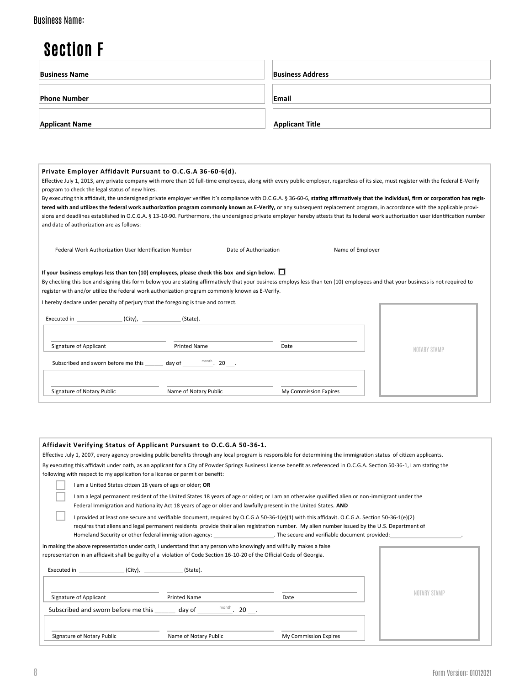## Section F

| <b>Business Name</b>  | <b>Business Address</b> |
|-----------------------|-------------------------|
| <b>Phone Number</b>   | Email                   |
| <b>Applicant Name</b> | <b>Applicant Title</b>  |

#### **Private Employer Affidavit Pursuant to O.C.G.A 36-60-6(d).**

Effective July 1, 2013, any private company with more than 10 full-time employees, along with every public employer, regardless of its size, must register with the federal E-Verify program to check the legal status of new hires.

By executing this affidavit, the undersigned private employer verifies it's compliance with O.C.G.A. § 36-60-6, **stating affirmatively that the individual, firm or corporation has regis**tered with and utilizes the federal work authorization program commonly known as E-Verify, or any subsequent replacement program, in accordance with the applicable provisions and deadlines established in O.C.G.A. § 13-10-90. Furthermore, the undersigned private employer hereby attests that its federal work authorization user identification number and date of authorization are as follows:

| Federal Work Authorization User Identification Number |
|-------------------------------------------------------|
|-------------------------------------------------------|

Date of Authorization Name of Employer

#### **If your business employs less than ten (10) employees, please check this box and sign below.**

By checking this box and signing this form below you are stating affirmatively that your business employs less than ten (10) employees and that your business is not required to register with and/or utilize the federal work authorization program commonly known as E-Verify.

I hereby declare under penalty of perjury that the foregoing is true and correct.

| (City),<br>Executed in              | (State).                                                                                                                                                                                                                                                                                                                                                                                                                                                                 |                       |              |
|-------------------------------------|--------------------------------------------------------------------------------------------------------------------------------------------------------------------------------------------------------------------------------------------------------------------------------------------------------------------------------------------------------------------------------------------------------------------------------------------------------------------------|-----------------------|--------------|
| Signature of Applicant              | <b>Printed Name</b>                                                                                                                                                                                                                                                                                                                                                                                                                                                      | Date                  | NOTARY STAMP |
| Subscribed and sworn before me this | day of $\overline{\phantom{0}}$ $\overline{\phantom{0}}$ $\overline{\phantom{0}}$ $\overline{\phantom{0}}$ $\overline{\phantom{0}}$ $\overline{\phantom{0}}$ $\overline{\phantom{0}}$ $\overline{\phantom{0}}$ $\overline{\phantom{0}}$ $\overline{\phantom{0}}$ $\overline{\phantom{0}}$ $\overline{\phantom{0}}$ $\overline{\phantom{0}}$ $\overline{\phantom{0}}$ $\overline{\phantom{0}}$ $\overline{\phantom{0}}$ $\overline{\phantom{0}}$ $\overline{\phantom{0}}$ |                       |              |
| Signature of Notary Public          | Name of Notary Public                                                                                                                                                                                                                                                                                                                                                                                                                                                    | My Commission Expires |              |

| Affidavit Verifying Status of Applicant Pursuant to O.C.G.A 50-36-1.<br>Effective July 1, 2007, every agency providing public benefits through any local program is responsible for determining the immigration status of citizen applicants.                                                 |                       |  |  |  |
|-----------------------------------------------------------------------------------------------------------------------------------------------------------------------------------------------------------------------------------------------------------------------------------------------|-----------------------|--|--|--|
| By executing this affidavit under oath, as an applicant for a City of Powder Springs Business License benefit as referenced in O.C.G.A. Section 50-36-1, I am stating the<br>following with respect to my application for a license or permit or benefit:                                     |                       |  |  |  |
| I am a United States citizen 18 years of age or older; OR<br>I am a legal permanent resident of the United States 18 years of age or older; or I am an otherwise qualified alien or non-immigrant under the                                                                                   |                       |  |  |  |
| Federal Immigration and Nationality Act 18 years of age or older and lawfully present in the United States. AND                                                                                                                                                                               |                       |  |  |  |
| I provided at least one secure and verifiable document, required by O.C.G.A 50-36-1(e)(1) with this affidavit. O.C.G.A. Section 50-36-1(e)(2)<br>requires that aliens and legal permanent residents provide their alien registration number. My alien number issued by the U.S. Department of |                       |  |  |  |
| In making the above representation under oath, I understand that any person who knowingly and willfully makes a false<br>representation in an affidavit shall be guilty of a violation of Code Section 16-10-20 of the Official Code of Georgia.                                              |                       |  |  |  |
|                                                                                                                                                                                                                                                                                               |                       |  |  |  |
| Signature of Applicant<br><b>Printed Name</b><br>Subscribed and sworn before me this _______ day of _______ <sup>month</sup> . 20 ___.                                                                                                                                                        | Date                  |  |  |  |
| Signature of Notary Public<br>Name of Notary Public                                                                                                                                                                                                                                           | My Commission Expires |  |  |  |
|                                                                                                                                                                                                                                                                                               |                       |  |  |  |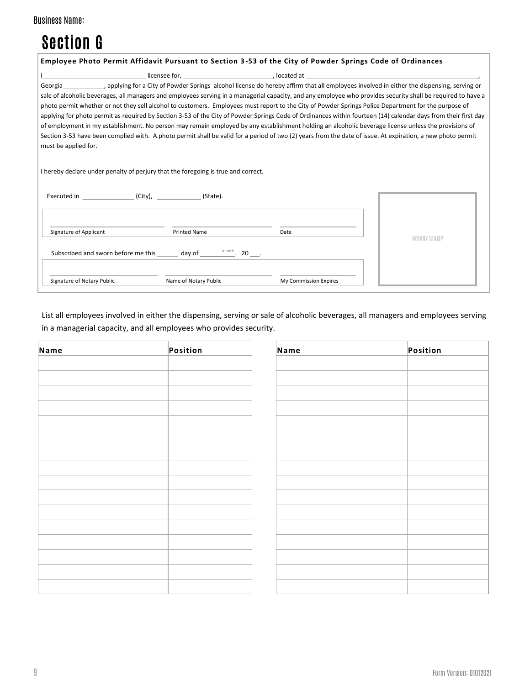| <b>Business Name:</b> |  |
|-----------------------|--|
|-----------------------|--|

# Section G

| Employee Photo Permit Affidavit Pursuant to Section 3-53 of the City of Powder Springs Code of Ordinances                                                                                                                                                                                                                                                                                                                                                                                                                                                                                                                                                                                                                                                                                                                                                                                                                                                                                                                                                                          |              |
|------------------------------------------------------------------------------------------------------------------------------------------------------------------------------------------------------------------------------------------------------------------------------------------------------------------------------------------------------------------------------------------------------------------------------------------------------------------------------------------------------------------------------------------------------------------------------------------------------------------------------------------------------------------------------------------------------------------------------------------------------------------------------------------------------------------------------------------------------------------------------------------------------------------------------------------------------------------------------------------------------------------------------------------------------------------------------------|--------------|
| licensee for, discussed at a set of the set of the set of the set of the set of the set of the set of the set o                                                                                                                                                                                                                                                                                                                                                                                                                                                                                                                                                                                                                                                                                                                                                                                                                                                                                                                                                                    |              |
| , applying for a City of Powder Springs alcohol license do hereby affirm that all employees involved in either the dispensing, serving or<br>Georgia<br>sale of alcoholic beverages, all managers and employees serving in a managerial capacity, and any employee who provides security shall be required to have a<br>photo permit whether or not they sell alcohol to customers. Employees must report to the City of Powder Springs Police Department for the purpose of<br>applying for photo permit as required by Section 3-53 of the City of Powder Springs Code of Ordinances within fourteen (14) calendar days from their first day<br>of employment in my establishment. No person may remain employed by any establishment holding an alcoholic beverage license unless the provisions of<br>Section 3-53 have been complied with. A photo permit shall be valid for a period of two (2) years from the date of issue. At expiration, a new photo permit<br>must be applied for.<br>I hereby declare under penalty of perjury that the foregoing is true and correct. |              |
|                                                                                                                                                                                                                                                                                                                                                                                                                                                                                                                                                                                                                                                                                                                                                                                                                                                                                                                                                                                                                                                                                    |              |
| Signature of Applicant<br><b>Printed Name</b><br>Date<br>Subscribed and sworn before me this ________ day of _______ <sup>month</sup> . 20 ___.                                                                                                                                                                                                                                                                                                                                                                                                                                                                                                                                                                                                                                                                                                                                                                                                                                                                                                                                    | NOTARY STAMP |
| Signature of Notary Public<br>Name of Notary Public<br>My Commission Expires                                                                                                                                                                                                                                                                                                                                                                                                                                                                                                                                                                                                                                                                                                                                                                                                                                                                                                                                                                                                       |              |

List all employees involved in either the dispensing, serving or sale of alcoholic beverages, all managers and employees serving in a managerial capacity, and all employees who provides security.

| Name | Position | Name | Position |
|------|----------|------|----------|
|      |          |      |          |
|      |          |      |          |
|      |          |      |          |
|      |          |      |          |
|      |          |      |          |
|      |          |      |          |
|      |          |      |          |
|      |          |      |          |
|      |          |      |          |
|      |          |      |          |
|      |          |      |          |
|      |          |      |          |
|      |          |      |          |
|      |          |      |          |
|      |          |      |          |
|      |          |      |          |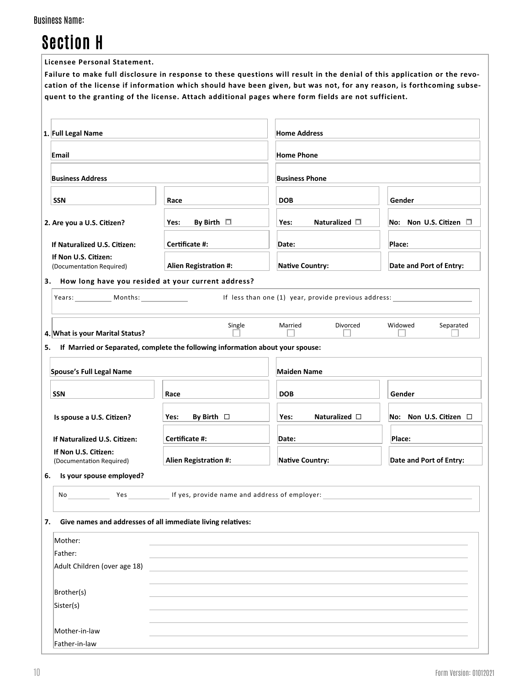| <b>Business Name:</b> |  |
|-----------------------|--|
|-----------------------|--|

# Section H

**Licensee Personal Statement.**

**Failure to make full disclosure in response to these questions will result in the denial of this application or the revocation of the license if information which should have been given, but was not, for any reason, is forthcoming subsequent to the granting of the license. Attach additional pages where form fields are not sufficient.**

| 1. Full Legal Name                                                |                                                                                | <b>Home Address</b>                                  |                                |  |
|-------------------------------------------------------------------|--------------------------------------------------------------------------------|------------------------------------------------------|--------------------------------|--|
| Email                                                             |                                                                                | <b>Home Phone</b>                                    |                                |  |
| <b>Business Address</b>                                           |                                                                                | <b>Business Phone</b>                                |                                |  |
| <b>SSN</b>                                                        | Race                                                                           | <b>DOB</b>                                           | Gender                         |  |
| 2. Are you a U.S. Citizen?                                        | By Birth $\square$<br>Yes:                                                     | Naturalized $\square$<br>Yes:                        | No: Non U.S. Citizen $\square$ |  |
| If Naturalized U.S. Citizen:                                      | Certificate #:                                                                 | Date:                                                | Place:                         |  |
| If Non U.S. Citizen:<br>(Documentation Required)                  | Alien Registration #:                                                          | <b>Native Country:</b>                               | Date and Port of Entry:        |  |
| 3. How long have you resided at your current address?             |                                                                                |                                                      |                                |  |
| Years: Months:                                                    |                                                                                | If less than one (1) year, provide previous address: |                                |  |
| 4. What is your Marital Status?                                   | Single                                                                         | Divorced<br>Married                                  | Widowed<br>Separated           |  |
| 5.                                                                | If Married or Separated, complete the following information about your spouse: |                                                      |                                |  |
| Spouse's Full Legal Name                                          |                                                                                | <b>Maiden Name</b>                                   |                                |  |
| <b>SSN</b>                                                        | Race                                                                           | <b>DOB</b>                                           | Gender                         |  |
| Is spouse a U.S. Citizen?                                         | By Birth $\Box$<br>Yes:                                                        | Naturalized $\square$<br>Yes:                        | No: Non U.S. Citizen □         |  |
| If Naturalized U.S. Citizen:                                      | Certificate #:                                                                 | Date:                                                | Place:                         |  |
| If Non U.S. Citizen:                                              |                                                                                |                                                      |                                |  |
| (Documentation Required)                                          | Alien Registration #:                                                          | <b>Native Country:</b>                               | Date and Port of Entry:        |  |
| Is your spouse employed?<br>6.                                    |                                                                                |                                                      |                                |  |
| <b>Yes</b><br>No                                                  | If yes, provide name and address of employer:                                  |                                                      |                                |  |
| Give names and addresses of all immediate living relatives:<br>7. |                                                                                |                                                      |                                |  |
| Mother:                                                           |                                                                                |                                                      |                                |  |
| Father:                                                           |                                                                                |                                                      |                                |  |
| Adult Children (over age 18)                                      |                                                                                |                                                      |                                |  |
| Brother(s)                                                        |                                                                                |                                                      |                                |  |
| Sister(s)                                                         |                                                                                |                                                      |                                |  |
| Mother-in-law                                                     |                                                                                |                                                      |                                |  |
| Father-in-law                                                     |                                                                                |                                                      |                                |  |